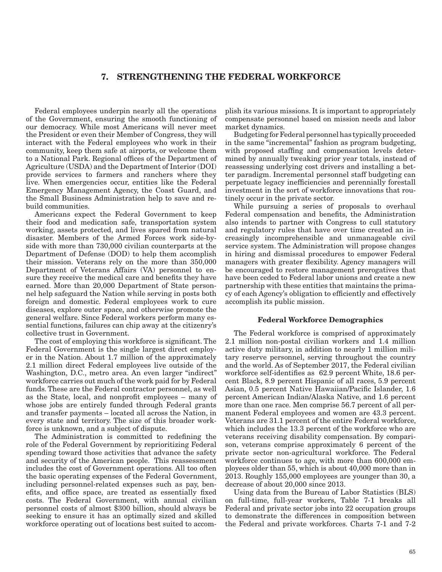## 7. STRENGTHENING THE FEDERAL WORKFORCE

Federal employees underpin nearly all the operations of the Government, ensuring the smooth functioning of our democracy. While most Americans will never meet the President or even their Member of Congress, they will interact with the Federal employees who work in their community, keep them safe at airports, or welcome them to a National Park. Regional offices of the Department of Agriculture (USDA) and the Department of Interior (DOI) provide services to farmers and ranchers where they live. When emergencies occur, entities like the Federal Emergency Management Agency, the Coast Guard, and the Small Business Administration help to save and rebuild communities.

Americans expect the Federal Government to keep their food and medication safe, transportation system working, assets protected, and lives spared from natural disaster. Members of the Armed Forces work side-byside with more than 730,000 civilian counterparts at the Department of Defense (DOD) to help them accomplish their mission. Veterans rely on the more than 350,000 Department of Veterans Affairs (VA) personnel to ensure they receive the medical care and benefits they have earned. More than 20,000 Department of State personnel help safeguard the Nation while serving in posts both foreign and domestic. Federal employees work to cure diseases, explore outer space, and otherwise promote the general welfare. Since Federal workers perform many essential functions, failures can chip away at the citizenry's collective trust in Government.

The cost of employing this workforce is significant. The Federal Government is the single largest direct employer in the Nation. About 1.7 million of the approximately 2.1 million direct Federal employees live outside of the Washington, D.C., metro area. An even larger "indirect" workforce carries out much of the work paid for by Federal funds. These are the Federal contractor personnel, as well as the State, local, and nonprofit employees – many of whose jobs are entirely funded through Federal grants and transfer payments – located all across the Nation, in every state and territory. The size of this broader workforce is unknown, and a subject of dispute.

The Administration is committed to redefining the role of the Federal Government by reprioritizing Federal spending toward those activities that advance the safety and security of the American people. This reassessment includes the cost of Government operations. All too often the basic operating expenses of the Federal Government, including personnel-related expenses such as pay, benefits, and office space, are treated as essentially fixed costs. The Federal Government, with annual civilian personnel costs of almost \$300 billion, should always be seeking to ensure it has an optimally sized and skilled workforce operating out of locations best suited to accomplish its various missions. It is important to appropriately compensate personnel based on mission needs and labor market dynamics.

Budgeting for Federal personnel has typically proceeded in the same "incremental" fashion as program budgeting, with proposed staffing and compensation levels determined by annually tweaking prior year totals, instead of reassessing underlying cost drivers and installing a better paradigm. Incremental personnel staff budgeting can perpetuate legacy inefficiencies and perennially forestall investment in the sort of workforce innovations that routinely occur in the private sector.

While pursuing a series of proposals to overhaul Federal compensation and benefits, the Administration also intends to partner with Congress to cull statutory and regulatory rules that have over time created an increasingly incomprehensible and unmanageable civil service system. The Administration will propose changes in hiring and dismissal procedures to empower Federal managers with greater flexibility. Agency managers will be encouraged to restore management prerogatives that have been ceded to Federal labor unions and create a new partnership with these entities that maintains the primacy of each Agency's obligation to efficiently and effectively accomplish its public mission.

## Federal Workforce Demographics

The Federal workforce is comprised of approximately 2.1 million non-postal civilian workers and 1.4 million active duty military, in addition to nearly 1 million military reserve personnel, serving throughout the country and the world. As of September 2017, the Federal civilian workforce self-identifies as 62.9 percent White, 18.6 percent Black, 8.9 percent Hispanic of all races, 5.9 percent Asian, 0.5 percent Native Hawaiian/Pacific Islander, 1.6 percent American Indian/Alaska Native, and 1.6 percent more than one race. Men comprise 56.7 percent of all permanent Federal employees and women are 43.3 percent. Veterans are 31.1 percent of the entire Federal workforce, which includes the 13.3 percent of the workforce who are veterans receiving disability compensation. By comparison, veterans comprise approximately 6 percent of the private sector non-agricultural workforce. The Federal workforce continues to age, with more than 600,000 employees older than 55, which is about 40,000 more than in 2013. Roughly 155,000 employees are younger than 30, a decrease of about 20,000 since 2013.

Using data from the Bureau of Labor Statistics (BLS) on full-time, full-year workers, Table 7-1 breaks all Federal and private sector jobs into 22 occupation groups to demonstrate the differences in composition between the Federal and private workforces. Charts 7-1 and 7-2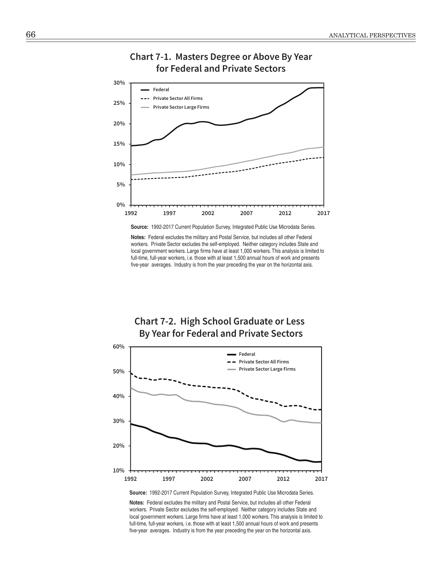

# **Chart 7-1. Masters Degree or Above By Year for Federal and Private Sectors**

**Source:** 1992-2017 Current Population Survey, Integrated Public Use Microdata Series.

**Notes:** Federal excludes the military and Postal Service, but includes all other Federal workers. Private Sector excludes the self-employed. Neither category includes State and local government workers. Large firms have at least 1,000 workers. This analysis is limited to full-time, full-year workers, i.e. those with at least 1,500 annual hours of work and presents five-year averages. Industry is from the year preceding the year on the horizontal axis.





**Source:** 1992-2017 Current Population Survey, Integrated Public Use Microdata Series.

**Notes:** Federal excludes the military and Postal Service, but includes all other Federal workers. Private Sector excludes the self-employed. Neither category includes State and local government workers. Large firms have at least 1,000 workers. This analysis is limited to full-time, full-year workers, i.e. those with at least 1,500 annual hours of work and presents five-year averages. Industry is from the year preceding the year on the horizontal axis.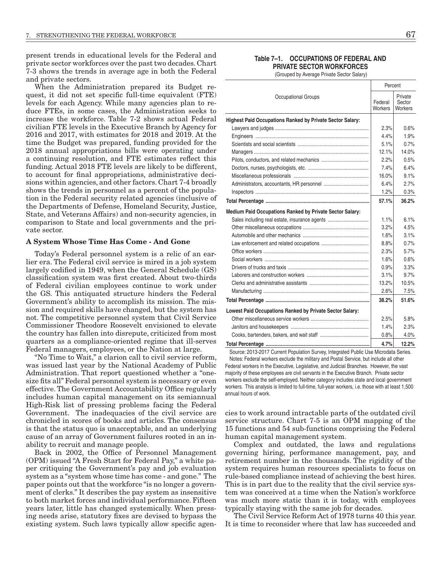present trends in educational levels for the Federal and private sector workforces over the past two decades. Chart 7-3 shows the trends in average age in both the Federal and private sectors.

When the Administration prepared its Budget request, it did not set specific full-time equivalent (FTE) levels for each Agency. While many agencies plan to reduce FTEs, in some cases, the Administration seeks to increase the workforce. Table 7-2 shows actual Federal civilian FTE levels in the Executive Branch by Agency for 2016 and 2017, with estimates for 2018 and 2019. At the time the Budget was prepared, funding provided for the 2018 annual appropriations bills were operating under a continuing resolution, and FTE estimates reflect this funding. Actual 2018 FTE levels are likely to be different, to account for final appropriations, administrative decisions within agencies, and other factors. Chart 7-4 broadly shows the trends in personnel as a percent of the population in the Federal security related agencies (inclusive of the Departments of Defense, Homeland Security, Justice, State, and Veterans Affairs) and non-security agencies, in comparison to State and local governments and the private sector.

## A System Whose Time Has Come - And Gone

Today's Federal personnel system is a relic of an earlier era. The Federal civil service is mired in a job system largely codified in 1949, when the General Schedule (GS) classification system was first created. About two-thirds of Federal civilian employees continue to work under the GS. This antiquated structure hinders the Federal Government's ability to accomplish its mission. The mission and required skills have changed, but the system has not. The competitive personnel system that Civil Service Commissioner Theodore Roosevelt envisioned to elevate the country has fallen into disrepute, criticized from most quarters as a compliance-oriented regime that ill-serves Federal managers, employees, or the Nation at large.

"No Time to Wait," a clarion call to civil service reform, was issued last year by the National Academy of Public Administration. That report questioned whether a "onesize fits all" Federal personnel system is necessary or even effective. The Government Accountability Office regularly includes human capital management on its semiannual High-Risk list of pressing problems facing the Federal Government. The inadequacies of the civil service are chronicled in scores of books and articles. The consensus is that the status quo is unacceptable, and an underlying cause of an array of Government failures rooted in an inability to recruit and manage people.

Back in 2002, the Office of Personnel Management (OPM) issued "A Fresh Start for Federal Pay," a white paper critiquing the Government's pay and job evaluation system as a "system whose time has come - and gone." The paper points out that the workforce "is no longer a government of clerks." It describes the pay system as insensitive to both market forces and individual performance. Fifteen years later, little has changed systemically. When pressing needs arise, statutory fixes are devised to bypass the existing system. Such laws typically allow specific agen-

## Table 7-1. OCCUPATIONS OF FEDERAL AND **PRIVATE SECTOR WORKFORCES**

(Grouped by Average Private Sector Salary)

|                                                                  | Percent            |                              |  |  |
|------------------------------------------------------------------|--------------------|------------------------------|--|--|
| <b>Occupational Groups</b>                                       | Federal<br>Workers | Private<br>Sector<br>Workers |  |  |
| <b>Highest Paid Occupations Ranked by Private Sector Salary:</b> |                    |                              |  |  |
|                                                                  | 2.3%               | 0.6%                         |  |  |
|                                                                  | 4.4%               | 1.9%                         |  |  |
|                                                                  | 5.1%               | 0.7%                         |  |  |
|                                                                  | 12.1%              | 14.0%                        |  |  |
|                                                                  | 2.2%               | 0.5%                         |  |  |
|                                                                  | $7.4\%$            | 6.4%                         |  |  |
|                                                                  | 16.0%              | 9.1%                         |  |  |
|                                                                  | 6.4%               | 2.7%                         |  |  |
|                                                                  | 1.2%               | 0.3%                         |  |  |
|                                                                  | 57.1%              | 36.2%                        |  |  |
| Medium Paid Occupations Ranked by Private Sector Salary:         |                    |                              |  |  |
| Sales including real estate, insurance agents                    | 1.1%               | 6.1%                         |  |  |
|                                                                  | 3.2%               | 4.5%                         |  |  |
|                                                                  | 1.6%               | 3.1%                         |  |  |
|                                                                  | 8.8%               | 0.7%                         |  |  |
|                                                                  | 2.3%               | 5.7%                         |  |  |
|                                                                  | 1.6%               | 0.6%                         |  |  |
|                                                                  | 0.9%               | 3.3%                         |  |  |
|                                                                  | 3.1%               | 9.7%                         |  |  |
|                                                                  | 13.2%              | 10.5%                        |  |  |
|                                                                  | 2.6%               | 7.5%                         |  |  |
|                                                                  | 38.2%              | 51.6%                        |  |  |
| Lowest Paid Occupations Ranked by Private Sector Salary:         |                    |                              |  |  |
|                                                                  | 2.5%               | 5.8%                         |  |  |
|                                                                  | 1.4%               | 2.3%                         |  |  |
|                                                                  | 0.8%               | 4.0%                         |  |  |
| Total Percentage                                                 | 4.7%               | 12.2%                        |  |  |

Source: 2013-2017 Current Population Survey, Integrated Public Use Microdata Series. Notes: Federal workers exclude the military and Postal Service, but include all other Federal workers in the Executive, Legislative, and Judicial Branches. However, the vast majority of these employees are civil servants in the Executive Branch. Private sector workers exclude the self-employed. Neither category includes state and local government workers. This analysis is limited to full-time, full-year workers, i.e. those with at least 1,500 annual hours of work.

cies to work around intractable parts of the outdated civil service structure. Chart 7-5 is an OPM mapping of the 15 functions and 54 sub-functions comprising the Federal human capital management system.

Complex and outdated, the laws and regulations governing hiring, performance management, pay, and retirement number in the thousands. The rigidity of the system requires human resources specialists to focus on rule-based compliance instead of achieving the best hires. This is in part due to the reality that the civil service system was conceived at a time when the Nation's workforce was much more static than it is today, with employees typically staying with the same job for decades.

The Civil Service Reform Act of 1978 turns 40 this year. It is time to reconsider where that law has succeeded and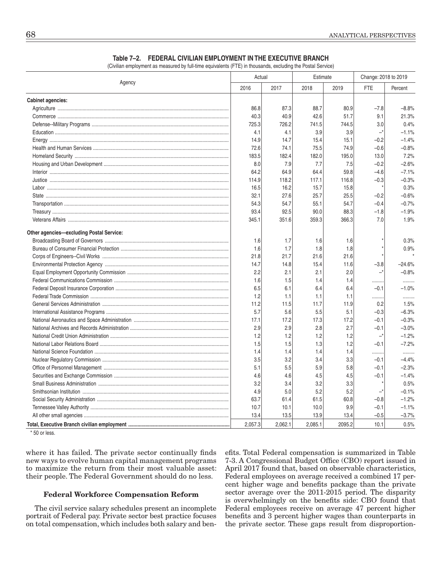|                                            | Actual  |       | Estimate |       | Change: 2018 to 2019     |          |
|--------------------------------------------|---------|-------|----------|-------|--------------------------|----------|
| Agency                                     | 2016    | 2017  | 2018     | 2019  | <b>FTE</b>               | Percent  |
| <b>Cabinet agencies:</b>                   |         |       |          |       |                          |          |
|                                            | 86.8    | 87.3  | 88.7     | 80.9  | $-7.8$                   | $-8.8%$  |
|                                            | 40.3    | 40.9  | 42.6     | 51.7  | 9.1                      | 21.3%    |
|                                            | 725.3   | 726.2 | 741.5    | 744.5 | 3.0                      | 0.4%     |
|                                            | 4.1     | 4.1   | 3.9      | 3.9   | $\overline{\phantom{0}}$ | $-1.1%$  |
|                                            | 14.9    | 14.7  | 15.4     | 15.1  | $-0.2$                   | $-1.4%$  |
|                                            | 72.6    | 74.1  | 75.5     | 74.9  | $-0.6$                   | $-0.8%$  |
|                                            | 183.5   | 182.4 | 182.0    | 195.0 | 13.0                     | 7.2%     |
|                                            | 8.0     | 7.9   | 7.7      | 7.5   | $-0.2$                   | $-2.6%$  |
|                                            | 64.2    | 64.9  | 64.4     | 59.8  | $-4.6$                   | $-7.1%$  |
|                                            | 114.9   | 118.2 | 117.1    | 116.8 | $-0.3$                   | $-0.3%$  |
|                                            | 16.5    | 16.2  | 15.7     | 15.8  |                          | 0.3%     |
|                                            | 32.1    | 27.6  | 25.7     | 25.5  | $-0.2$                   | $-0.6%$  |
|                                            | 54.3    | 54.7  | 55.1     | 54.7  | $-0.4$                   | $-0.7%$  |
|                                            | 93.4    | 92.5  | 90.0     | 88.3  | $-1.8$                   | $-1.9%$  |
|                                            | 345.1   | 351.6 | 359.3    | 366.3 | 7.0                      | 1.9%     |
| Other agencies-excluding Postal Service:   |         |       |          |       |                          |          |
|                                            | 1.6     | 1.7   | 1.6      | 1.6   |                          | 0.3%     |
|                                            | 1.6     | 1.7   | 1.8      | 1.8   |                          | 0.9%     |
|                                            | 21.8    | 21.7  | 21.6     | 21.6  |                          |          |
|                                            | 14.7    | 14.8  | 15.4     | 11.6  | $-3.8$                   | $-24.6%$ |
|                                            | 2.2     | 2.1   | 2.1      | 2.0   | $-^*$                    | $-0.8%$  |
|                                            | 1.6     | 1.5   | 1.4      | 1.4   | .                        |          |
|                                            | 6.5     | 6.1   | 6.4      | 6.4   | $-0.1$                   | $-1.0%$  |
|                                            | 1.2     | 1.1   | 1.1      | 1.1   | .                        |          |
|                                            | 11.2    | 11.5  | 11.7     | 11.9  | 0.2                      | 1.5%     |
|                                            | 5.7     | 5.6   | 5.5      | 5.1   | $-0.3$                   | $-6.3%$  |
|                                            | 17.1    | 17.2  | 17.3     | 17.2  | $-0.1$                   | $-0.3%$  |
|                                            | 2.9     | 2.9   | 2.8      | 2.7   | $-0.1$                   | $-3.0%$  |
|                                            | 1.2     | 1.2   | 1.2      | 1.2   | –*                       | $-1.2%$  |
|                                            | 1.5     | 1.5   | 1.3      | 1.2   | $-0.1$                   | $-7.2%$  |
|                                            | 1.4     | 1.4   | 1.4      | 1.4   | .                        |          |
|                                            | 3.5     | 3.2   | 3.4      | 3.3   | $-0.1$                   | $-4.4%$  |
|                                            | 5.1     | 5.5   | 5.9      | 5.8   | $-0.1$                   | $-2.3%$  |
|                                            | 4.6     | 4.6   | 4.5      | 4.5   | $-0.1$                   | $-1.4%$  |
|                                            | 3.2     | 3.4   | 3.2      | 3.3   |                          | 0.5%     |
|                                            | 4.9     | 5.0   | 5.2      | 5.2   | –*                       | $-0.1%$  |
|                                            | 63.7    | 61.4  | 61.5     | 60.8  | $-0.8$                   | $-1.2%$  |
|                                            | 10.7    | 10.1  | 10.0     | 9.9   | $-0.1$                   | $-1.1%$  |
|                                            | 13.4    | 13.5  | 13.9     | 13.4  | $-0.5$                   | $-3.7%$  |
| Total Executive Branch civilian employment | 2.057.3 | 20021 | 20851    | 20952 | 101                      | 0.5%     |

## Table 7-2. FEDERAL CIVILIAN EMPLOYMENT IN THE EXECUTIVE BRANCH

(Civilian employment as measured by full-time equivalents (FTE) in thousands, excluding the Postal Service)

\*50 or less.

where it has failed. The private sector continually finds new ways to evolve human capital management programs to maximize the return from their most valuable asset: their people. The Federal Government should do no less.

## **Federal Workforce Compensation Reform**

The civil service salary schedules present an incomplete portrait of Federal pay. Private sector best practice focuses on total compensation, which includes both salary and benefits. Total Federal compensation is summarized in Table 7-3. A Congressional Budget Office (CBO) report issued in April 2017 found that, based on observable characteristics, Federal employees on average received a combined 17 percent higher wage and benefits package than the private sector average over the 2011-2015 period. The disparity is overwhelmingly on the benefits side: CBO found that Federal employees receive on average 47 percent higher benefits and 3 percent higher wages than counterparts in the private sector. These gaps result from disproportion-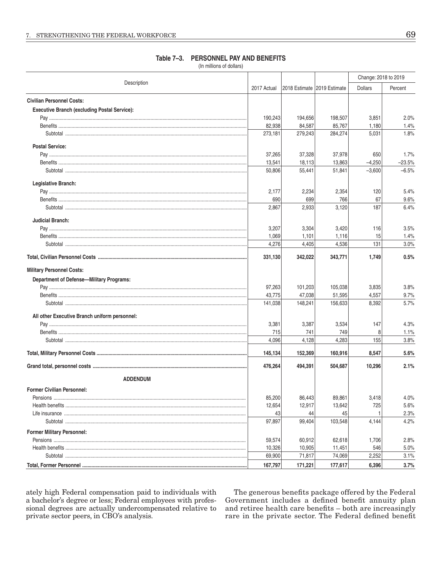#### Change: 2018 to 2019 Description 2017 Actual 2018 Estimate 2019 Estimate **Dollars** Percent **Civilian Personnel Costs: Executive Branch (excluding Postal Service):** 190.243 194.656 198.507 3.851  $2.0%$ 82,938 84,587 85,767 1,180 1.4% 273,181 279,243 284,274 5,031 1.8% **Postal Service:** 37.265 37,328 37.978 650 1.7% 13.541 18.113 13.863  $-4.250$  $-23.5%$ **Subtotal** 55,441 51,841  $-3,600$ 50,806  $-6.5%$ Legislative Branch: 2.234 2.354 120  $5.4%$ 2.177 690 699 766 67  $9.6%$ 2,867 2,933  $3,120$ 187  $6.4%$ **Judicial Branch:**  $3.5%$ 3.207 3.304 3.420 116 1,069 1,101 1,116 15 1.4% 4,276 4,405 4,536 131  $3.0%$ 331,130 342,022 343,771 1,749  $0.5%$ **Military Personnel Costs: Department of Defense-Military Programs:** 97.263 105,038  $3.8%$ 101 203 3.835 43,775 47,038 51,595 4,557 9.7% 148,241 141,038 156,633 8,392 5.7% All other Executive Branch uniform personnel: 3.381 3.387 3.534 147  $4.3%$ **Benefits** 715 741 749  $\beta$  $1.1%$ 4,096 4,128 4,283 Subtotal and the state of the state of the state of the state of the state of the state of the state of the state of the state of the state of the state of the state of the state of the state of the state of the state of t 155  $3.8%$ 145,134 152,369 160,916 8,547  $5.6%$ 476,264 494,391 504,687 10,296  $2.1%$ **ADDENDUM Former Civilian Personnel:** Pensions ...................... 85.200 86.443 89.861 3.418  $4.0%$ 12,654 12,917 13,642 725 5.6% 43 44 45 2.3% 97,897 103,548 99,404 4,144 4.2% **Former Military Personnel:** Pensions ......................... 59,574 60.912 62.618 1,706 2.8% 10,326 10,905 11,451  $5.0%$ 546 **Subtotal** 69,900 71,817 74,069 2,252  $3.1%$ 177,617 167,797 171,221 6,396  $3.7%$

Table 7-3. PERSONNEL PAY AND BENEFITS

(In millions of dollars)

ately high Federal compensation paid to individuals with a bachelor's degree or less; Federal employees with professional degrees are actually undercompensated relative to private sector peers, in CBO's analysis.

The generous benefits package offered by the Federal Government includes a defined benefit annuity plan and retiree health care benefits - both are increasingly rare in the private sector. The Federal defined benefit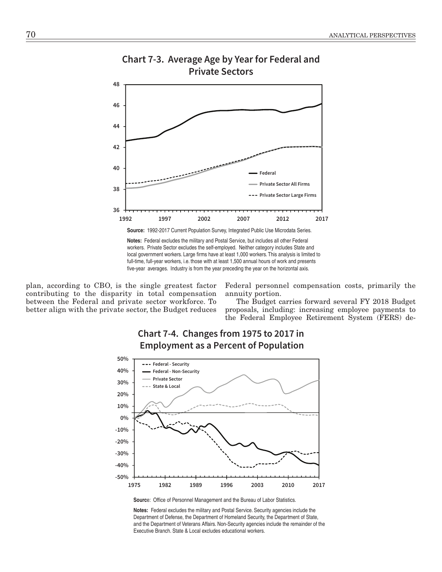

## **Chart 7-3. Average Age by Year for Federal and Private Sectors**

**Source:** 1992-2017 Current Population Survey, Integrated Public Use Microdata Series.

**Notes:** Federal excludes the military and Postal Service, but includes all other Federal workers. Private Sector excludes the self-employed. Neither category includes State and local government workers. Large firms have at least 1,000 workers. This analysis is limited to full-time, full-year workers, i.e. those with at least 1,500 annual hours of work and presents five-year averages. Industry is from the year preceding the year on the horizontal axis.

plan, according to CBO, is the single greatest factor contributing to the disparity in total compensation between the Federal and private sector workforce. To better align with the private sector, the Budget reduces

Federal personnel compensation costs, primarily the annuity portion.

 The Budget carries forward several FY 2018 Budget proposals, including: increasing employee payments to the Federal Employee Retirement System (FERS) de-



## **Chart 7-4. Changes from 1975 to 2017 in Employment as a Percent of Population**

**Notes:** Federal excludes the military and Postal Service. Security agencies include the Department of Defense, the Department of Homeland Security, the Department of State, and the Department of Veterans Affairs. Non-Security agencies include the remainder of the Executive Branch. State & Local excludes educational workers.

**Source: Office of Personnel Management and the Bureau of Labor Statistics.**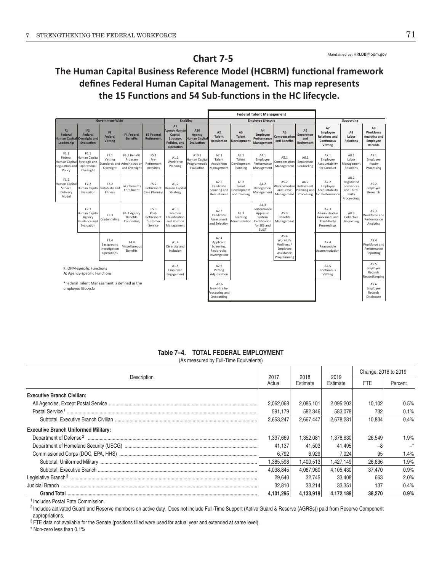Maintained by: HRLOB@opm.gov

# The Human Capital Business Reference Model (HCBRM) functional framework defines Federal Human Capital Management. This map represents the 15 Functions and 54 Sub-functions in the HC lifecycle.

**Chart 7-5** 

|                                                                          |                                                                    |                                                    |                                                                          |                                                    |                                                                                 |                                                      | <b>Federal Talent Management</b>                                 |                                                |                                                                                     |                                                                          |                                       |                                                                        |                                                                        |                                                                            |
|--------------------------------------------------------------------------|--------------------------------------------------------------------|----------------------------------------------------|--------------------------------------------------------------------------|----------------------------------------------------|---------------------------------------------------------------------------------|------------------------------------------------------|------------------------------------------------------------------|------------------------------------------------|-------------------------------------------------------------------------------------|--------------------------------------------------------------------------|---------------------------------------|------------------------------------------------------------------------|------------------------------------------------------------------------|----------------------------------------------------------------------------|
|                                                                          |                                                                    | <b>Government-Wide</b>                             |                                                                          |                                                    |                                                                                 | Enabling                                             |                                                                  |                                                | <b>Employee Lifecycle</b>                                                           |                                                                          |                                       |                                                                        | Supporting                                                             |                                                                            |
| F1<br><b>Federal</b><br><b>Human Capital Oversight and</b><br>Leadership | F <sub>2</sub><br>Federal<br><b>Evaluation</b>                     | F <sub>3</sub><br><b>Federal</b><br><b>Vetting</b> | <b>F4 Federal</b><br><b>Benefits</b>                                     | <b>F5 Federal</b><br><b>Retirement</b>             | A1<br><b>Agency Human</b><br>Capital<br>Strategy,<br>Policies, and<br>Operation | A10<br>Agency<br><b>Human Capital</b><br>Evaluation  | A2<br><b>Talent</b><br><b>Acquisition</b>                        | A <sub>3</sub><br><b>Talent</b><br>Development | A <sub>4</sub><br>Employee<br>Performance<br>Management                             | A5<br>Compensation<br>and Benefits                                       | A6<br>Separation<br>and<br>Retirement | A7<br>Employee<br><b>Relations and</b><br><b>Continuous</b><br>Vetting | A8<br>Labor<br><b>Relations</b>                                        | A <sub>9</sub><br>Workforce<br>Analytics and<br>Employee<br><b>Records</b> |
| F1.1<br>Federal<br>Human Capita<br>Regulation and<br>Policy              | F2.1<br>Human Capital<br>Strategic and<br>Operational<br>Oversight | F3.1<br>Vetting<br>Oversight                       | F4.1 Benefit<br>Program<br>Standards and Administration<br>and Oversight | F5.1<br>Pre-<br>Retirement<br>Activities           | A1.1<br>Workforce<br>Planning                                                   | A10.1<br>Human Capital<br>Programmatic<br>Evaluation | A2.1<br>Talent<br>Acquisition<br>Management                      | A3.1<br>Talent<br>Development<br>Planning      | A4.1<br>Employee<br>Performance<br>Management                                       | A5.1<br>Compensation<br>Management                                       | A6.1<br>Separation<br>Counseling      | A7.1<br>Employee<br>Accountability<br>for Conduct                      | A8.1<br>Labor<br>Management<br>Relations                               | A9.1<br>Employee<br>Inquiry<br>Processing                                  |
| F1.2<br>Human Capital<br>Service<br>Delivery<br>Model                    | F2.2<br>Evaluation                                                 | F3.2<br>Human Capital Suitability and<br>Fitness   | F4.2 Benefits<br>Enrollment                                              | F5.2<br>Retirement<br><b>Case Planning</b>         | A1.2<br>Human Capital<br>Strategy                                               |                                                      | A2.2<br>Candidate<br>Sourcing and<br>Recruitment                 | A3.2<br>Talent<br>Development<br>and Training  | A4.2<br>Recognition<br>Management                                                   | A5.2<br>Work Schedule Retirement<br>and Leave<br>Management              | A6.2<br>Planning and<br>Processing    | A7.2<br>Employee<br>Accountability<br>for Performance                  | A8.2<br>Negotiated<br>Grievances<br>and Third-<br>Party<br>Proceedings | A9.2<br>Employee<br>Research                                               |
|                                                                          | F2.3<br>Human Capital<br>Agency<br>Guidance and<br>Evaluation      | F3.3<br>Credentialing                              | F4.3 Agency<br>Benefits<br>Counseling                                    | F5.3<br>Post-<br>Retirement<br>Customer<br>Service | A1.3<br>Position<br>Classification<br>and Position<br>Management                |                                                      | A2.3<br>Candidate<br>Assessment<br>and Selection                 | A3.3<br>Learning<br>Administration             | A4.3<br>Performance<br>Appraisal<br>System<br>Certification<br>for SES and<br>SL/ST | A5.3<br><b>Benefits</b><br>Management                                    |                                       | A7.3<br>Administrative<br>Grievances and<br>Third-Party<br>Proceedings | A8.3<br>Collective<br>Bargaining                                       | A9.3<br>Workforce and<br>Performance<br>Analytics                          |
|                                                                          |                                                                    | F3.4<br>Background<br>Investigation<br>Operations  | F4.4<br>Miscellaneous<br><b>Benefits</b>                                 |                                                    | A1.4<br>Diversity and<br>Inclusion                                              |                                                      | A2.4<br>Applicant<br>Screening.<br>Reciprocity.<br>Investigation |                                                |                                                                                     | A5.4<br>Work-Life<br>Wellness /<br>Employee<br>Assistance<br>Programming |                                       | A7.4<br>Reasonable<br>Accommodation                                    |                                                                        | A9.4<br>Workforce and<br>Performance<br>Reporting                          |
|                                                                          | F: OPM-specific Functions<br>A: Agency-specific Functions          |                                                    |                                                                          |                                                    | A1.5<br>Employee<br>Engagement                                                  |                                                      | A2.5<br>Vetting<br>Adiudication                                  |                                                |                                                                                     |                                                                          |                                       | A7.5<br>Continuous<br>Vetting                                          |                                                                        | A9.5<br>Employee<br>Records<br>Recordkeeping                               |
|                                                                          | employee lifecycle                                                 | *Federal Talent Management is defined as the       |                                                                          |                                                    |                                                                                 |                                                      | A2.6<br>New Hire In-<br>Processing and<br>Onboarding             |                                                |                                                                                     |                                                                          |                                       |                                                                        |                                                                        | A9.6<br>Employee<br>Records<br>Disclosure                                  |

## Table 7-4. TOTAL FEDERAL EMPLOYMENT

(As measured by Full-Time Equivalents)

|                                             |                |                  |                  | Change: 2018 to 2019 |         |  |
|---------------------------------------------|----------------|------------------|------------------|----------------------|---------|--|
| Description                                 | 2017<br>Actual | 2018<br>Estimate | 2019<br>Estimate | <b>FTE</b>           | Percent |  |
| <b>Executive Branch Civilian:</b>           |                |                  |                  |                      |         |  |
|                                             | 2,062,068      | 2,085,101        | 2,095,203        | 10,102               | 0.5%    |  |
|                                             | 591.179        | 582.346          | 583.078          | 732                  | 0.1%    |  |
|                                             | 2,653,247      | 2.667.447        | 2.678.281        | 10.834               | 0.4%    |  |
| <b>Executive Branch Uniformed Military:</b> |                |                  |                  |                      |         |  |
|                                             | 1,337,669      | 1,352,081        | 1,378,630        | 26,549               | 1.9%    |  |
|                                             | 41.137         | 41.503           | 41.495           |                      |         |  |
|                                             | 6.792          | 6.929            | 7.024            | 95                   | 1.4%    |  |
|                                             | 1,385,598      | 1,400,513        | 1,427,149        | 26.636               | 1.9%    |  |
|                                             | 4,038,845      | 4,067,960        | 4,105,430        | 37.470               | 0.9%    |  |
|                                             | 29,640         | 32.745           | 33,408           | 663                  | 2.0%    |  |
|                                             | 32,810         | 33.214           | 33.351           | 137                  | 0.4%    |  |
|                                             | 4,101,295      | 4.133.919        | 4,172,189        | 38,270               | 0.9%    |  |

<sup>1</sup> Includes Postal Rate Commission.

<sup>2</sup> Includes activated Guard and Reserve members on active duty. Does not include Full-Time Support (Active Guard & Reserve (AGRSs)) paid from Reserve Component appropriations.

<sup>3</sup> FTE data not available for the Senate (positions filled were used for actual year and extended at same level).

\* Non-zero less than 0.1%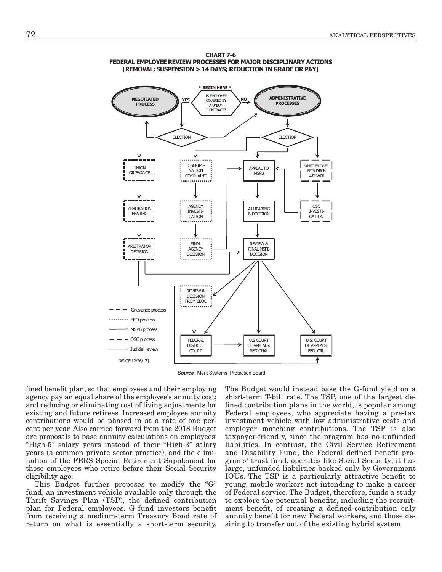



**Source:** Merit Systems Protection Board

fined benefit plan, so that employees and their employing agency pay an equal share of the employee's annuity cost; and reducing or eliminating cost of living adjustments for existing and future retirees. Increased employee annuity contributions would be phased in at a rate of one percent per year. Also carried forward from the 2018 Budget are proposals to base annuity calculations on employees' "High-5" salary years instead of their "High-3" salary years (a common private sector practice), and the elimination of the FERS Special Retirement Supplement for those employees who retire before their Social Security eligibility age.

This Budget further proposes to modify the "G" fund, an investment vehicle available only through the Thrift Savings Plan (TSP), the defined contribution plan for Federal employees. G fund investors benefit from receiving a medium-term Treasury Bond rate of return on what is essentially a short-term security.

The Budget would instead base the G-fund yield on a short-term T-bill rate. The TSP, one of the largest defined contribution plans in the world, is popular among Federal employees, who appreciate having a pre-tax investment vehicle with low administrative costs and employer matching contributions. The TSP is also taxpayer-friendly, since the program has no unfunded liabilities. In contrast, the Civil Service Retirement and Disability Fund, the Federal defined benefit programs' trust fund, operates like Social Security; it has large, unfunded liabilities backed only by Government IOUs. The TSP is a particularly attractive benefit to young, mobile workers not intending to make a career of Federal service. The Budget, therefore, funds a study to explore the potential benefits, including the recruitment benefit, of creating a defined-contribution only annuity benefit for new Federal workers, and those desiring to transfer out of the existing hybrid system.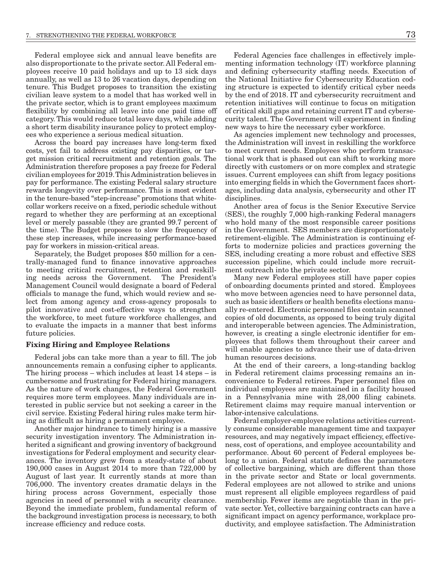Federal employee sick and annual leave benefits are also disproportionate to the private sector. All Federal employees receive 10 paid holidays and up to 13 sick days annually, as well as 13 to 26 vacation days, depending on tenure. This Budget proposes to transition the existing civilian leave system to a model that has worked well in the private sector, which is to grant employees maximum flexibility by combining all leave into one paid time off category. This would reduce total leave days, while adding a short term disability insurance policy to protect employees who experience a serious medical situation.

Across the board pay increases have long-term fixed costs, yet fail to address existing pay disparities, or target mission critical recruitment and retention goals. The Administration therefore proposes a pay freeze for Federal civilian employees for 2019. This Administration believes in pay for performance. The existing Federal salary structure rewards longevity over performance. This is most evident in the tenure-based "step-increase" promotions that whitecollar workers receive on a fixed, periodic schedule without regard to whether they are performing at an exceptional level or merely passable (they are granted 99.7 percent of the time). The Budget proposes to slow the frequency of these step increases, while increasing performance-based pay for workers in mission-critical areas.

Separately, the Budget proposes \$50 million for a centrally-managed fund to finance innovative approaches to meeting critical recruitment, retention and reskilling needs across the Government. The President's Management Council would designate a board of Federal officials to manage the fund, which would review and select from among agency and cross-agency proposals to pilot innovative and cost-effective ways to strengthen the workforce, to meet future workforce challenges, and to evaluate the impacts in a manner that best informs future policies.

## Fixing Hiring and Employee Relations

Federal jobs can take more than a year to fill. The job announcements remain a confusing cipher to applicants. The hiring process – which includes at least 14 steps – is cumbersome and frustrating for Federal hiring managers. As the nature of work changes, the Federal Government requires more term employees. Many individuals are interested in public service but not seeking a career in the civil service. Existing Federal hiring rules make term hiring as difficult as hiring a permanent employee.

Another major hindrance to timely hiring is a massive security investigation inventory. The Administration inherited a significant and growing inventory of background investigations for Federal employment and security clearances. The inventory grew from a steady-state of about 190,000 cases in August 2014 to more than 722,000 by August of last year. It currently stands at more than 706,000. The inventory creates dramatic delays in the hiring process across Government, especially those agencies in need of personnel with a security clearance. Beyond the immediate problem, fundamental reform of the background investigation process is necessary, to both increase efficiency and reduce costs.

Federal Agencies face challenges in effectively implementing information technology (IT) workforce planning and defining cybersecurity staffing needs. Execution of the National Initiative for Cybersecurity Education coding structure is expected to identify critical cyber needs by the end of 2018. IT and cybersecurity recruitment and retention initiatives will continue to focus on mitigation of critical skill gaps and retaining current IT and cybersecurity talent. The Government will experiment in finding new ways to hire the necessary cyber workforce.

As agencies implement new technology and processes, the Administration will invest in reskilling the workforce to meet current needs. Employees who perform transactional work that is phased out can shift to working more directly with customers or on more complex and strategic issues. Current employees can shift from legacy positions into emerging fields in which the Government faces shortages, including data analysis, cybersecurity and other IT disciplines.

Another area of focus is the Senior Executive Service (SES), the roughly 7,000 high-ranking Federal managers who hold many of the most responsible career positions in the Government. SES members are disproportionately retirement-eligible. The Administration is continuing efforts to modernize policies and practices governing the SES, including creating a more robust and effective SES succession pipeline, which could include more recruitment outreach into the private sector.

Many new Federal employees still have paper copies of onboarding documents printed and stored. Employees who move between agencies need to have personnel data, such as basic identifiers or health benefits elections manually re-entered. Electronic personnel files contain scanned copies of old documents, as opposed to being truly digital and interoperable between agencies. The Administration, however, is creating a single electronic identifier for employees that follows them throughout their career and will enable agencies to advance their use of data-driven human resources decisions.

At the end of their careers, a long-standing backlog in Federal retirement claims processing remains an inconvenience to Federal retirees. Paper personnel files on individual employees are maintained in a facility housed in a Pennsylvania mine with 28,000 filing cabinets. Retirement claims may require manual intervention or labor-intensive calculations.

Federal employer-employee relations activities currently consume considerable management time and taxpayer resources, and may negatively impact efficiency, effectiveness, cost of operations, and employee accountability and performance. About 60 percent of Federal employees belong to a union. Federal statute defines the parameters of collective bargaining, which are different than those in the private sector and State or local governments. Federal employees are not allowed to strike and unions must represent all eligible employees regardless of paid membership. Fewer items are negotiable than in the private sector. Yet, collective bargaining contracts can have a significant impact on agency performance, workplace productivity, and employee satisfaction. The Administration